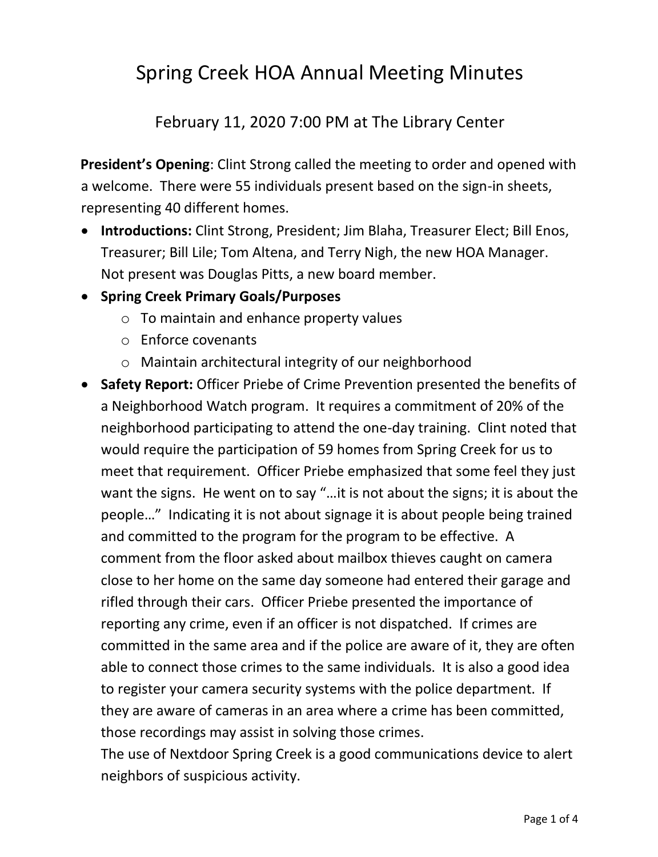## Spring Creek HOA Annual Meeting Minutes

February 11, 2020 7:00 PM at The Library Center

**President's Opening**: Clint Strong called the meeting to order and opened with a welcome. There were 55 individuals present based on the sign-in sheets, representing 40 different homes.

- **Introductions:** Clint Strong, President; Jim Blaha, Treasurer Elect; Bill Enos, Treasurer; Bill Lile; Tom Altena, and Terry Nigh, the new HOA Manager. Not present was Douglas Pitts, a new board member.
- **Spring Creek Primary Goals/Purposes**
	- $\circ$  To maintain and enhance property values
	- o Enforce covenants
	- o Maintain architectural integrity of our neighborhood
- **Safety Report:** Officer Priebe of Crime Prevention presented the benefits of a Neighborhood Watch program. It requires a commitment of 20% of the neighborhood participating to attend the one-day training. Clint noted that would require the participation of 59 homes from Spring Creek for us to meet that requirement. Officer Priebe emphasized that some feel they just want the signs. He went on to say "…it is not about the signs; it is about the people…" Indicating it is not about signage it is about people being trained and committed to the program for the program to be effective. A comment from the floor asked about mailbox thieves caught on camera close to her home on the same day someone had entered their garage and rifled through their cars. Officer Priebe presented the importance of reporting any crime, even if an officer is not dispatched. If crimes are committed in the same area and if the police are aware of it, they are often able to connect those crimes to the same individuals. It is also a good idea to register your camera security systems with the police department. If they are aware of cameras in an area where a crime has been committed, those recordings may assist in solving those crimes.

The use of Nextdoor Spring Creek is a good communications device to alert neighbors of suspicious activity.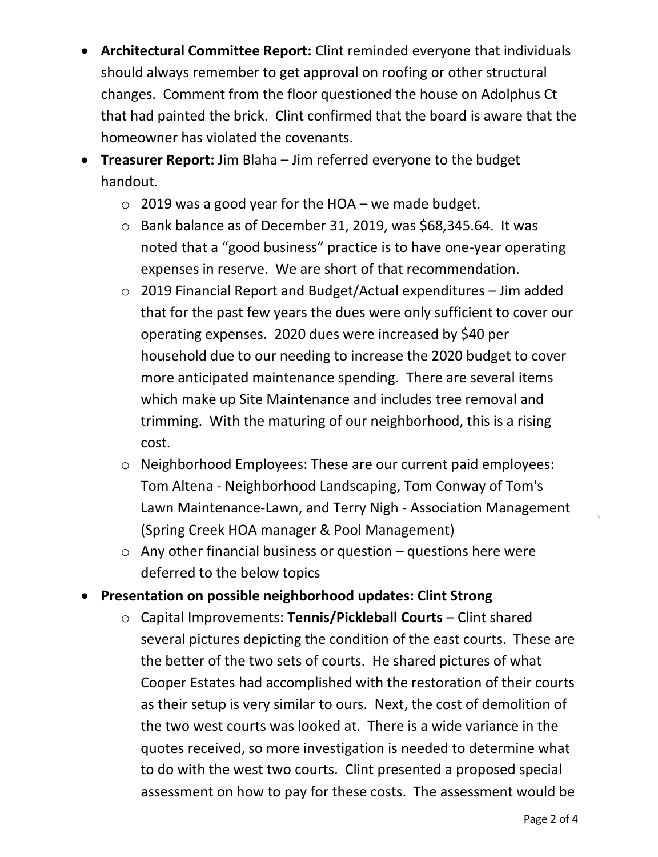- **Architectural Committee Report:** Clint reminded everyone that individuals should always remember to get approval on roofing or other structural changes. Comment from the floor questioned the house on Adolphus Ct that had painted the brick. Clint confirmed that the board is aware that the homeowner has violated the covenants.
- **Treasurer Report:** Jim Blaha Jim referred everyone to the budget handout.
	- $\circ$  2019 was a good year for the HOA we made budget.
	- o Bank balance as of December 31, 2019, was \$68,345.64. It was noted that a "good business" practice is to have one-year operating expenses in reserve. We are short of that recommendation.
	- o 2019 Financial Report and Budget/Actual expenditures Jim added that for the past few years the dues were only sufficient to cover our operating expenses. 2020 dues were increased by \$40 per household due to our needing to increase the 2020 budget to cover more anticipated maintenance spending. There are several items which make up Site Maintenance and includes tree removal and trimming. With the maturing of our neighborhood, this is a rising cost.
	- o Neighborhood Employees: These are our current paid employees: Tom Altena - Neighborhood Landscaping, Tom Conway of Tom's Lawn Maintenance-Lawn, and Terry Nigh - Association Management (Spring Creek HOA manager & Pool Management)
	- $\circ$  Any other financial business or question questions here were deferred to the below topics
- **Presentation on possible neighborhood updates: Clint Strong**
	- o Capital Improvements: **Tennis/Pickleball Courts** Clint shared several pictures depicting the condition of the east courts. These are the better of the two sets of courts. He shared pictures of what Cooper Estates had accomplished with the restoration of their courts as their setup is very similar to ours. Next, the cost of demolition of the two west courts was looked at. There is a wide variance in the quotes received, so more investigation is needed to determine what to do with the west two courts. Clint presented a proposed special assessment on how to pay for these costs. The assessment would be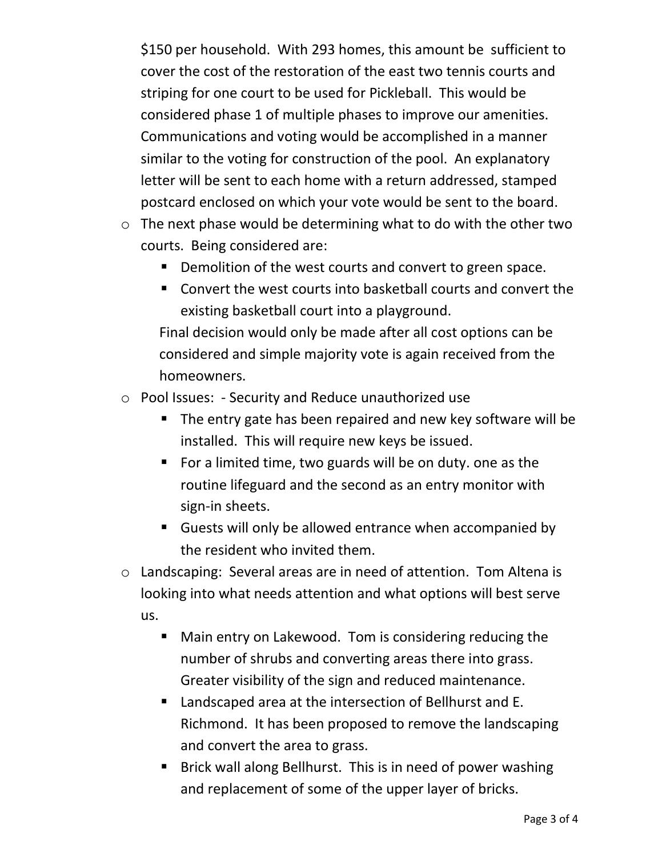\$150 per household. With 293 homes, this amount be sufficient to cover the cost of the restoration of the east two tennis courts and striping for one court to be used for Pickleball. This would be considered phase 1 of multiple phases to improve our amenities. Communications and voting would be accomplished in a manner similar to the voting for construction of the pool. An explanatory letter will be sent to each home with a return addressed, stamped postcard enclosed on which your vote would be sent to the board.

- $\circ$  The next phase would be determining what to do with the other two courts. Being considered are:
	- Demolition of the west courts and convert to green space.
	- Convert the west courts into basketball courts and convert the existing basketball court into a playground.

Final decision would only be made after all cost options can be considered and simple majority vote is again received from the homeowners.

- o Pool Issues: Security and Reduce unauthorized use
	- The entry gate has been repaired and new key software will be installed. This will require new keys be issued.
	- For a limited time, two guards will be on duty. one as the routine lifeguard and the second as an entry monitor with sign-in sheets.
	- Guests will only be allowed entrance when accompanied by the resident who invited them.
- o Landscaping: Several areas are in need of attention. Tom Altena is looking into what needs attention and what options will best serve us.
	- Main entry on Lakewood. Tom is considering reducing the number of shrubs and converting areas there into grass. Greater visibility of the sign and reduced maintenance.
	- Landscaped area at the intersection of Bellhurst and E. Richmond. It has been proposed to remove the landscaping and convert the area to grass.
	- Brick wall along Bellhurst. This is in need of power washing and replacement of some of the upper layer of bricks.